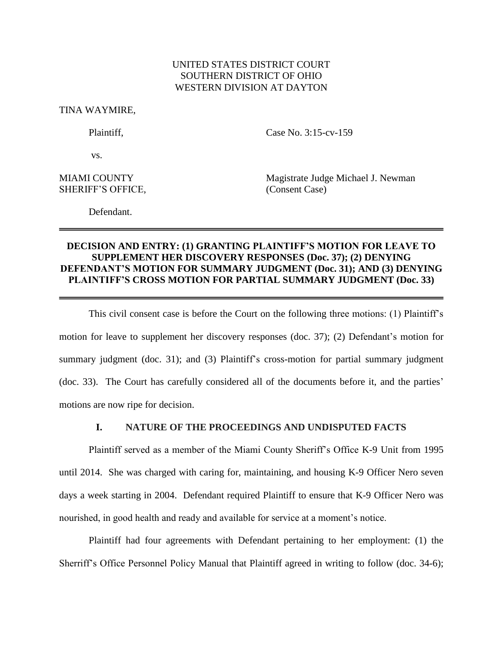# UNITED STATES DISTRICT COURT SOUTHERN DISTRICT OF OHIO WESTERN DIVISION AT DAYTON

TINA WAYMIRE,

Plaintiff. Case No. 3:15-cv-159

vs.

SHERIFF'S OFFICE, (Consent Case)

MIAMI COUNTY **Magistrate Judge Michael J. Newman** 

Defendant.

# **DECISION AND ENTRY: (1) GRANTING PLAINTIFF'S MOTION FOR LEAVE TO SUPPLEMENT HER DISCOVERY RESPONSES (Doc. 37); (2) DENYING DEFENDANT'S MOTION FOR SUMMARY JUDGMENT (Doc. 31); AND (3) DENYING PLAINTIFF'S CROSS MOTION FOR PARTIAL SUMMARY JUDGMENT (Doc. 33)**

This civil consent case is before the Court on the following three motions: (1) Plaintiff's motion for leave to supplement her discovery responses (doc. 37); (2) Defendant's motion for summary judgment (doc. 31); and (3) Plaintiff's cross-motion for partial summary judgment (doc. 33). The Court has carefully considered all of the documents before it, and the parties' motions are now ripe for decision.

# **I. NATURE OF THE PROCEEDINGS AND UNDISPUTED FACTS**

Plaintiff served as a member of the Miami County Sheriff's Office K-9 Unit from 1995 until 2014. She was charged with caring for, maintaining, and housing K-9 Officer Nero seven days a week starting in 2004. Defendant required Plaintiff to ensure that K-9 Officer Nero was nourished, in good health and ready and available for service at a moment's notice.

Plaintiff had four agreements with Defendant pertaining to her employment: (1) the Sherriff's Office Personnel Policy Manual that Plaintiff agreed in writing to follow (doc. 34-6);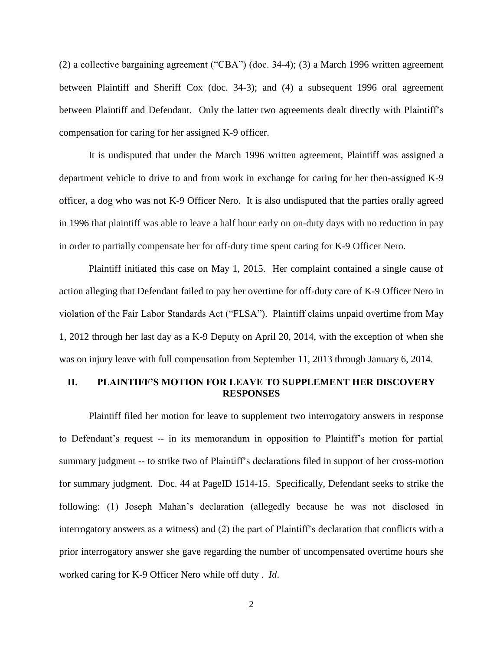(2) a collective bargaining agreement ("CBA") (doc. 34-4); (3) a March 1996 written agreement between Plaintiff and Sheriff Cox (doc. 34-3); and (4) a subsequent 1996 oral agreement between Plaintiff and Defendant. Only the latter two agreements dealt directly with Plaintiff's compensation for caring for her assigned K-9 officer.

It is undisputed that under the March 1996 written agreement, Plaintiff was assigned a department vehicle to drive to and from work in exchange for caring for her then-assigned K-9 officer, a dog who was not K-9 Officer Nero. It is also undisputed that the parties orally agreed in 1996 that plaintiff was able to leave a half hour early on on-duty days with no reduction in pay in order to partially compensate her for off-duty time spent caring for K-9 Officer Nero.

Plaintiff initiated this case on May 1, 2015. Her complaint contained a single cause of action alleging that Defendant failed to pay her overtime for off-duty care of K-9 Officer Nero in violation of the Fair Labor Standards Act ("FLSA"). Plaintiff claims unpaid overtime from May 1, 2012 through her last day as a K-9 Deputy on April 20, 2014, with the exception of when she was on injury leave with full compensation from September 11, 2013 through January 6, 2014.

## **II. PLAINTIFF'S MOTION FOR LEAVE TO SUPPLEMENT HER DISCOVERY RESPONSES**

Plaintiff filed her motion for leave to supplement two interrogatory answers in response to Defendant's request -- in its memorandum in opposition to Plaintiff's motion for partial summary judgment -- to strike two of Plaintiff's declarations filed in support of her cross-motion for summary judgment. Doc. 44 at PageID 1514-15. Specifically, Defendant seeks to strike the following: (1) Joseph Mahan's declaration (allegedly because he was not disclosed in interrogatory answers as a witness) and (2) the part of Plaintiff's declaration that conflicts with a prior interrogatory answer she gave regarding the number of uncompensated overtime hours she worked caring for K-9 Officer Nero while off duty . *Id*.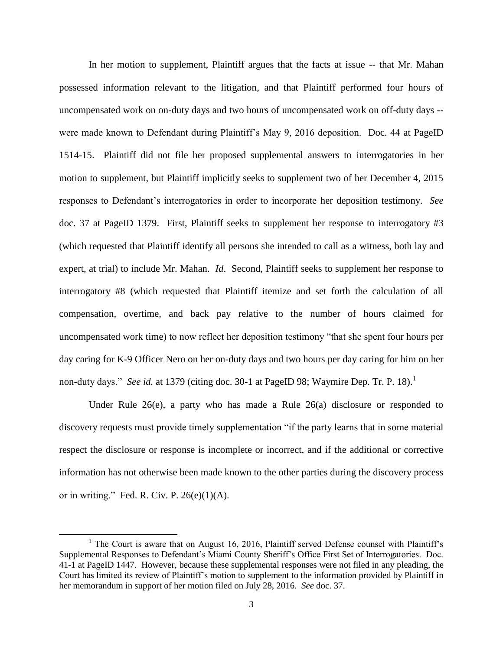In her motion to supplement, Plaintiff argues that the facts at issue -- that Mr. Mahan possessed information relevant to the litigation, and that Plaintiff performed four hours of uncompensated work on on-duty days and two hours of uncompensated work on off-duty days - were made known to Defendant during Plaintiff's May 9, 2016 deposition. Doc. 44 at PageID 1514-15. Plaintiff did not file her proposed supplemental answers to interrogatories in her motion to supplement, but Plaintiff implicitly seeks to supplement two of her December 4, 2015 responses to Defendant's interrogatories in order to incorporate her deposition testimony. *See*  doc. 37 at PageID 1379. First, Plaintiff seeks to supplement her response to interrogatory #3 (which requested that Plaintiff identify all persons she intended to call as a witness, both lay and expert, at trial) to include Mr. Mahan. *Id*. Second, Plaintiff seeks to supplement her response to interrogatory #8 (which requested that Plaintiff itemize and set forth the calculation of all compensation, overtime, and back pay relative to the number of hours claimed for uncompensated work time) to now reflect her deposition testimony "that she spent four hours per day caring for K-9 Officer Nero on her on-duty days and two hours per day caring for him on her non-duty days." *See id.* at 1379 (citing doc. 30-1 at PageID 98; Waymire Dep. Tr. P. 18).<sup>1</sup>

Under Rule 26(e), a party who has made a Rule 26(a) disclosure or responded to discovery requests must provide timely supplementation "if the party learns that in some material respect the disclosure or response is incomplete or incorrect, and if the additional or corrective information has not otherwise been made known to the other parties during the discovery process or in writing." Fed. R. Civ. P.  $26(e)(1)(A)$ .

 $\overline{\phantom{a}}$ 

<sup>&</sup>lt;sup>1</sup> The Court is aware that on August 16, 2016, Plaintiff served Defense counsel with Plaintiff's Supplemental Responses to Defendant's Miami County Sheriff's Office First Set of Interrogatories. Doc. 41-1 at PageID 1447. However, because these supplemental responses were not filed in any pleading, the Court has limited its review of Plaintiff's motion to supplement to the information provided by Plaintiff in her memorandum in support of her motion filed on July 28, 2016. *See* doc. 37.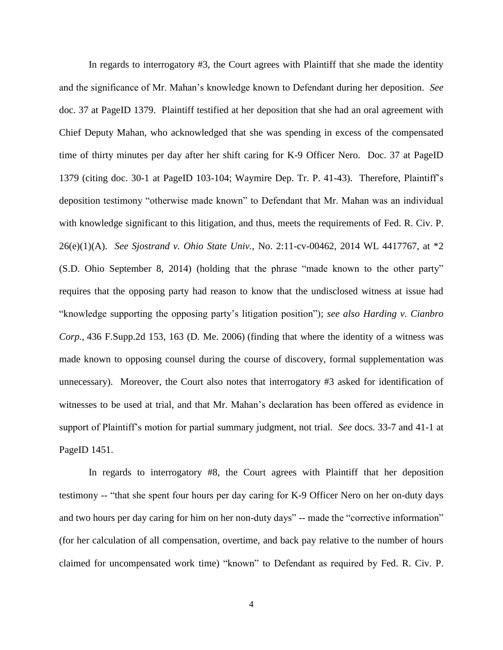In regards to interrogatory #3, the Court agrees with Plaintiff that she made the identity and the significance of Mr. Mahan's knowledge known to Defendant during her deposition. *See* doc. 37 at PageID 1379. Plaintiff testified at her deposition that she had an oral agreement with Chief Deputy Mahan, who acknowledged that she was spending in excess of the compensated time of thirty minutes per day after her shift caring for K-9 Officer Nero. Doc. 37 at PageID 1379 (citing doc. 30-1 at PageID 103-104; Waymire Dep. Tr. P. 41-43). Therefore, Plaintiff's deposition testimony "otherwise made known" to Defendant that Mr. Mahan was an individual with knowledge significant to this litigation, and thus, meets the requirements of Fed. R. Civ. P. 26(e)(1)(A). *See Sjostrand v. Ohio State Univ.,* No. 2:11-cv-00462, 2014 WL 4417767, at \*2 (S.D. Ohio September 8, 2014) (holding that the phrase "made known to the other party" requires that the opposing party had reason to know that the undisclosed witness at issue had "knowledge supporting the opposing party's litigation position"); *see also Harding v. Cianbro Corp.,* 436 F.Supp.2d 153, 163 (D. Me. 2006) (finding that where the identity of a witness was made known to opposing counsel during the course of discovery, formal supplementation was unnecessary). Moreover, the Court also notes that interrogatory #3 asked for identification of witnesses to be used at trial, and that Mr. Mahan's declaration has been offered as evidence in support of Plaintiff's motion for partial summary judgment, not trial. *See* docs. 33-7 and 41-1 at PageID 1451.

In regards to interrogatory #8, the Court agrees with Plaintiff that her deposition testimony -- "that she spent four hours per day caring for K-9 Officer Nero on her on-duty days and two hours per day caring for him on her non-duty days" -- made the "corrective information" (for her calculation of all compensation, overtime, and back pay relative to the number of hours claimed for uncompensated work time) "known" to Defendant as required by Fed. R. Civ. P.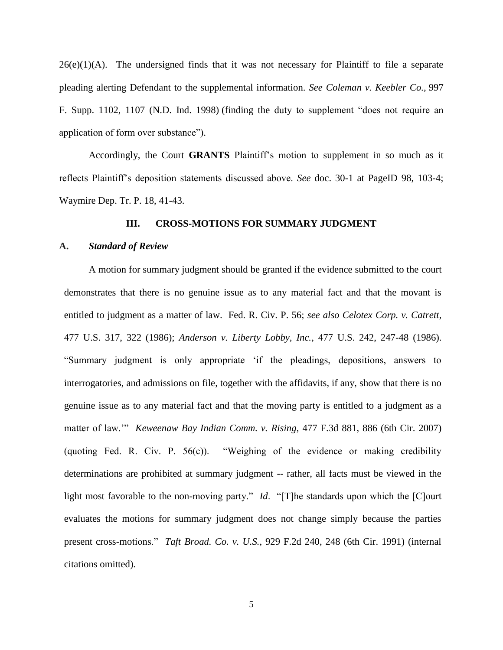$26(e)(1)(A)$ . The undersigned finds that it was not necessary for Plaintiff to file a separate pleading alerting Defendant to the supplemental information. *See Coleman v. Keebler Co.,* 997 F. Supp. 1102, 1107 (N.D. Ind. 1998) (finding the duty to supplement "does not require an application of form over substance").

Accordingly, the Court **GRANTS** Plaintiff's motion to supplement in so much as it reflects Plaintiff's deposition statements discussed above. *See* doc. 30-1 at PageID 98, 103-4; Waymire Dep. Tr. P. 18, 41-43.

### **III. CROSS-MOTIONS FOR SUMMARY JUDGMENT**

#### **A.** *Standard of Review*

A motion for summary judgment should be granted if the evidence submitted to the court demonstrates that there is no genuine issue as to any material fact and that the movant is entitled to judgment as a matter of law. Fed. R. Civ. P. 56; *see also Celotex Corp. v. Catrett*, 477 U.S. 317, 322 (1986); *Anderson v. Liberty Lobby, Inc.*, 477 U.S. 242, 247-48 (1986). "Summary judgment is only appropriate 'if the pleadings, depositions, answers to interrogatories, and admissions on file, together with the affidavits, if any, show that there is no genuine issue as to any material fact and that the moving party is entitled to a judgment as a matter of law.'" *Keweenaw Bay Indian Comm. v. Rising*, 477 F.3d 881, 886 (6th Cir. 2007) (quoting Fed. R. Civ. P. 56(c)). "Weighing of the evidence or making credibility determinations are prohibited at summary judgment -- rather, all facts must be viewed in the light most favorable to the non-moving party." *Id*. "[T]he standards upon which the [C]ourt evaluates the motions for summary judgment does not change simply because the parties present cross-motions." *Taft Broad. Co. v. U.S.*, 929 F.2d 240, 248 (6th Cir. 1991) (internal citations omitted).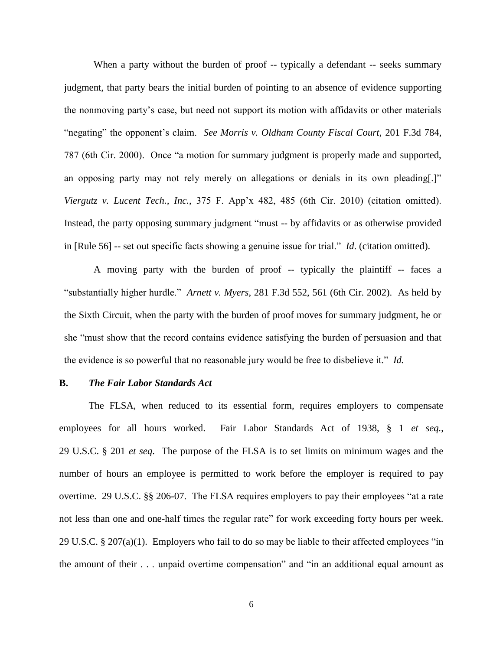When a party without the burden of proof -- typically a defendant -- seeks summary judgment, that party bears the initial burden of pointing to an absence of evidence supporting the nonmoving party's case, but need not support its motion with affidavits or other materials "negating" the opponent's claim. *See Morris v. Oldham County Fiscal Court*, 201 F.3d 784, 787 (6th Cir. 2000). Once "a motion for summary judgment is properly made and supported, an opposing party may not rely merely on allegations or denials in its own pleading[.]" *Viergutz v. Lucent Tech., Inc.*, 375 F. App'x 482, 485 (6th Cir. 2010) (citation omitted). Instead, the party opposing summary judgment "must -- by affidavits or as otherwise provided in [Rule 56] -- set out specific facts showing a genuine issue for trial." *Id*. (citation omitted).

A moving party with the burden of proof -- typically the plaintiff -- faces a "substantially higher hurdle." *Arnett v. Myers*, 281 F.3d 552, 561 (6th Cir. 2002). As held by the Sixth Circuit, when the party with the burden of proof moves for summary judgment, he or she "must show that the record contains evidence satisfying the burden of persuasion and that the evidence is so powerful that no reasonable jury would be free to disbelieve it." *Id.*

### **B.** *The Fair Labor Standards Act*

The FLSA, when reduced to its essential form, requires employers to compensate employees for all hours worked. Fair Labor Standards Act of 1938, § 1 *et seq.*, 29 U.S.C. § 201 *et seq*. The purpose of the FLSA is to set limits on minimum wages and the number of hours an employee is permitted to work before the employer is required to pay overtime. 29 U.S.C. §§ 206[-07.](http://www.westlaw.com/Link/Document/FullText?findType=L&pubNum=1000546&cite=29USCAS207&originatingDoc=Id790178e567411d9bf30d7fdf51b6bd4&refType=LQ&originationContext=document&vr=3.0&rs=cblt1.0&transitionType=DocumentItem&contextData=(sc.Search)) The FLSA requires employers to pay their employees "at a rate not less than one and one-half times the regular rate" for work exceeding forty hours per week. 29 U.S.C. § 207(a)(1). Employers who fail to do so may be liable to their affected employees "in the amount of their . . . unpaid overtime compensation" and "in an additional equal amount as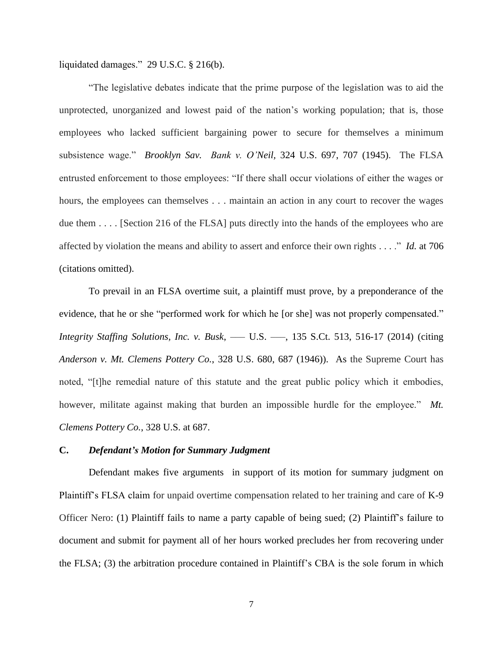liquidated damages." 29 U.S.C. § 216(b).

"The legislative debates indicate that the prime purpose of the legislation was to aid the unprotected, unorganized and lowest paid of the nation's working population; that is, those employees who lacked sufficient bargaining power to secure for themselves a minimum subsistence wage." *Brooklyn Sav. Bank v. O'Neil,* 324 U.S. 697, 707 (1945). The FLSA entrusted enforcement to those employees: "If there shall occur violations of either the wages or hours, the employees can themselves . . . maintain an action in any court to recover the wages due them . . . . [Section 216 of the FLSA] puts directly into the hands of the employees who are affected by violation the means and ability to assert and enforce their own rights . . . ." *Id.* at 706 (citations omitted).

To prevail in an FLSA overtime suit, a plaintiff must prove, by a preponderance of the evidence, that he or she "performed work for which he [or she] was not properly compensated." *Integrity Staffing Solutions, Inc. v. Busk*, ––– U.S. –––, 135 S.Ct. 513, 516-17 (2014) (citing *Anderson v. Mt. Clemens Pottery Co.*, 328 U.S. 680, 687 (1946)). As the Supreme Court has noted, "[t]he remedial nature of this statute and the great public policy which it embodies, however, militate against making that burden an impossible hurdle for the employee." Mt. *Clemens Pottery Co.*, 328 U.S. at 687.

### **C.** *Defendant's Motion for Summary Judgment*

Defendant makes five arguments in support of its motion for summary judgment on Plaintiff's FLSA claim for unpaid overtime compensation related to her training and care of K-9 Officer Nero: (1) Plaintiff fails to name a party capable of being sued; (2) Plaintiff's failure to document and submit for payment all of her hours worked precludes her from recovering under the FLSA; (3) the arbitration procedure contained in Plaintiff's CBA is the sole forum in which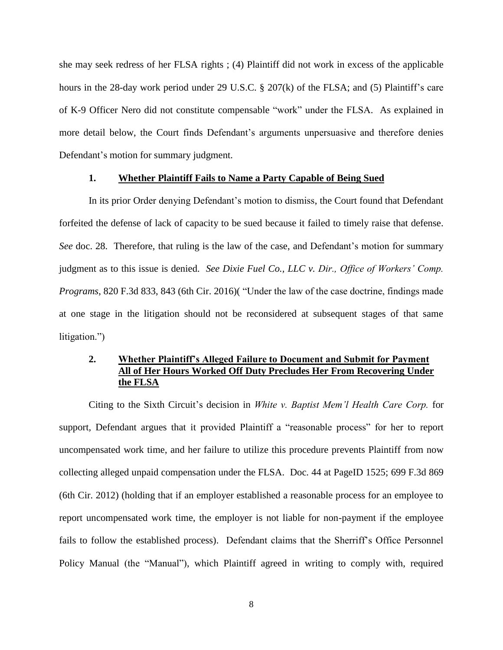she may seek redress of her FLSA rights ; (4) Plaintiff did not work in excess of the applicable hours in the 28-day work period under 29 U.S.C. § 207(k) of the FLSA; and (5) Plaintiff's care of K-9 Officer Nero did not constitute compensable "work" under the FLSA. As explained in more detail below, the Court finds Defendant's arguments unpersuasive and therefore denies Defendant's motion for summary judgment.

### **1. Whether Plaintiff Fails to Name a Party Capable of Being Sued**

In its prior Order denying Defendant's motion to dismiss, the Court found that Defendant forfeited the defense of lack of capacity to be sued because it failed to timely raise that defense. *See* doc. 28. Therefore, that ruling is the law of the case, and Defendant's motion for summary judgment as to this issue is denied. *See Dixie Fuel Co., LLC v. Dir., Office of Workers' Comp. Programs*, 820 F.3d 833, 843 (6th Cir. 2016)( "Under the law of the case doctrine, findings made at one stage in the litigation should not be reconsidered at subsequent stages of that same litigation.")

# **2. Whether Plaintiff's Alleged Failure to Document and Submit for Payment All of Her Hours Worked Off Duty Precludes Her From Recovering Under the FLSA**

Citing to the Sixth Circuit's decision in *White v. Baptist Mem'l Health Care Corp.* for support*,* Defendant argues that it provided Plaintiff a "reasonable process" for her to report uncompensated work time, and her failure to utilize this procedure prevents Plaintiff from now collecting alleged unpaid compensation under the FLSA. Doc. 44 at PageID 1525; 699 F.3d 869 (6th Cir. 2012) (holding that if an employer established a reasonable process for an employee to report uncompensated work time, the employer is not liable for non-payment if the employee fails to follow the established process). Defendant claims that the Sherriff's Office Personnel Policy Manual (the "Manual"), which Plaintiff agreed in writing to comply with, required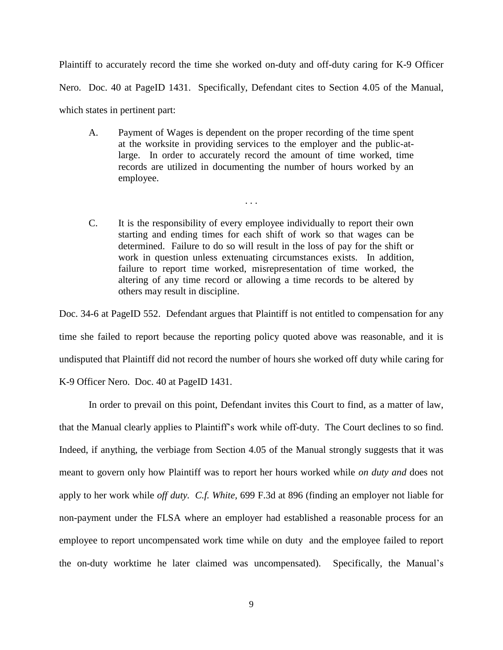Plaintiff to accurately record the time she worked on-duty and off-duty caring for K-9 Officer Nero. Doc. 40 at PageID 1431. Specifically, Defendant cites to Section 4.05 of the Manual, which states in pertinent part:

A. Payment of Wages is dependent on the proper recording of the time spent at the worksite in providing services to the employer and the public-atlarge. In order to accurately record the amount of time worked, time records are utilized in documenting the number of hours worked by an employee.

. . .

C. It is the responsibility of every employee individually to report their own starting and ending times for each shift of work so that wages can be determined. Failure to do so will result in the loss of pay for the shift or work in question unless extenuating circumstances exists. In addition, failure to report time worked, misrepresentation of time worked, the altering of any time record or allowing a time records to be altered by others may result in discipline.

Doc. 34-6 at PageID 552. Defendant argues that Plaintiff is not entitled to compensation for any time she failed to report because the reporting policy quoted above was reasonable, and it is undisputed that Plaintiff did not record the number of hours she worked off duty while caring for K-9 Officer Nero. Doc. 40 at PageID 1431.

In order to prevail on this point, Defendant invites this Court to find, as a matter of law, that the Manual clearly applies to Plaintiff's work while off-duty. The Court declines to so find. Indeed, if anything, the verbiage from Section 4.05 of the Manual strongly suggests that it was meant to govern only how Plaintiff was to report her hours worked while *on duty and* does not apply to her work while *off duty. C.f. White,* 699 F.3d at 896 (finding an employer not liable for non-payment under the FLSA where an employer had established a reasonable process for an employee to report uncompensated work time while on duty and the employee failed to report the on-duty worktime he later claimed was uncompensated). Specifically, the Manual's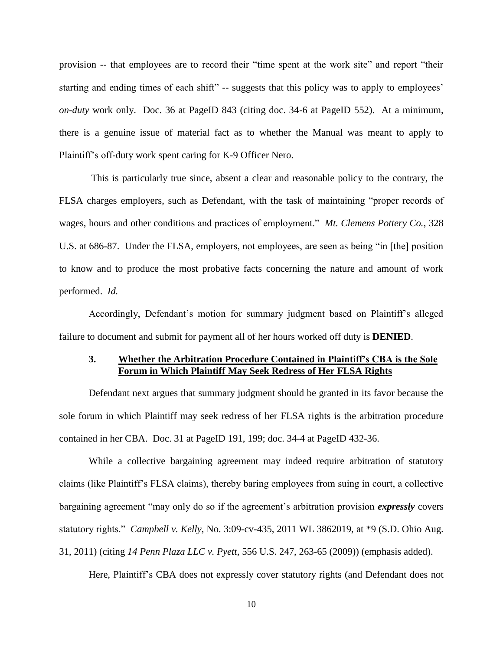provision -- that employees are to record their "time spent at the work site" and report "their starting and ending times of each shift" -- suggests that this policy was to apply to employees' *on-duty* work only. Doc. 36 at PageID 843 (citing doc. 34-6 at PageID 552). At a minimum, there is a genuine issue of material fact as to whether the Manual was meant to apply to Plaintiff's off-duty work spent caring for K-9 Officer Nero.

This is particularly true since, absent a clear and reasonable policy to the contrary, the FLSA charges employers, such as Defendant, with the task of maintaining "proper records of wages, hours and other conditions and practices of employment." *Mt. Clemens Pottery Co.*, 328 U.S. at 686-87. Under the FLSA, employers, not employees, are seen as being "in [the] position to know and to produce the most probative facts concerning the nature and amount of work performed. *Id.*

Accordingly, Defendant's motion for summary judgment based on Plaintiff's alleged failure to document and submit for payment all of her hours worked off duty is **DENIED**.

### **3. Whether the Arbitration Procedure Contained in Plaintiff's CBA is the Sole Forum in Which Plaintiff May Seek Redress of Her FLSA Rights**

Defendant next argues that summary judgment should be granted in its favor because the sole forum in which Plaintiff may seek redress of her FLSA rights is the arbitration procedure contained in her CBA. Doc. 31 at PageID 191, 199; doc. 34-4 at PageID 432-36.

While a collective bargaining agreement may indeed require arbitration of statutory claims (like Plaintiff's FLSA claims), thereby baring employees from suing in court, a collective bargaining agreement "may only do so if the agreement's arbitration provision *expressly* covers statutory rights." *Campbell v. Kelly*, No. 3:09-cv-435, 2011 WL 3862019, at \*9 (S.D. Ohio Aug. 31, 2011) (citing *14 Penn Plaza LLC v. Pyett*, 556 U.S. 247, 263-65 (2009)) (emphasis added).

Here, Plaintiff's CBA does not expressly cover statutory rights (and Defendant does not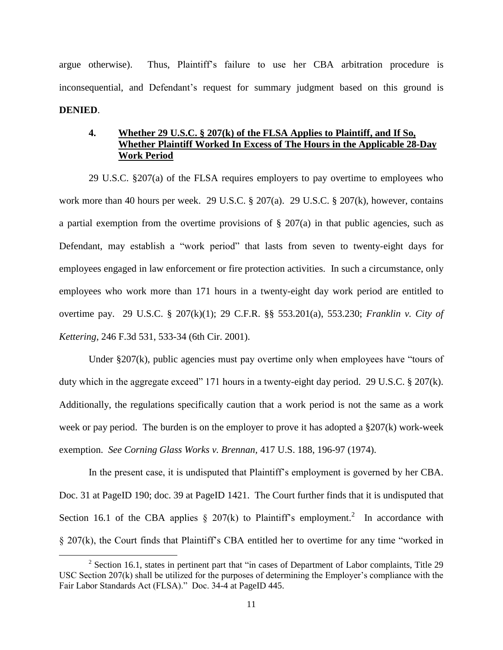argue otherwise). Thus, Plaintiff's failure to use her CBA arbitration procedure is inconsequential, and Defendant's request for summary judgment based on this ground is **DENIED**.

# **4. Whether 29 U.S.C. § 207(k) of the FLSA Applies to Plaintiff, and If So, Whether Plaintiff Worked In Excess of The Hours in the Applicable 28-Day Work Period**

29 U.S.C. §207(a) of the FLSA requires employers to pay overtime to employees who work more than 40 hours per week. 29 U.S.C. § 207(a). 29 U.S.C. § 207(k), however, contains a partial exemption from the overtime provisions of § 207(a) in that public agencies, such as Defendant, may establish a "work period" that lasts from seven to twenty-eight days for employees engaged in law enforcement or fire protection activities. In such a circumstance, only employees who work more than 171 hours in a twenty-eight day work period are entitled to overtime pay. 29 U.S.C. § 207(k)(1); [29 C.F.R. §§ 553.201\(a\),](http://www.westlaw.com/Link/Document/FullText?findType=L&pubNum=1000547&cite=29CFRS553.201&originatingDoc=Id790178e567411d9bf30d7fdf51b6bd4&refType=RB&originationContext=document&vr=3.0&rs=cblt1.0&transitionType=DocumentItem&contextData=(sc.Search)#co_pp_8b3b0000958a4) [553.230;](http://www.westlaw.com/Link/Document/FullText?findType=L&pubNum=1000547&cite=29CFRS553.230&originatingDoc=Id790178e567411d9bf30d7fdf51b6bd4&refType=LQ&originationContext=document&vr=3.0&rs=cblt1.0&transitionType=DocumentItem&contextData=(sc.Search)) *Franklin v. City of Kettering*, 246 F.3d 531, 533-34 (6th Cir. 2001).

Under §207(k), public agencies must pay overtime only when employees have "tours of duty which in the aggregate exceed" 171 hours in a twenty-eight day period. 29 U.S.C. § 207(k). Additionally, the regulations specifically caution that a work period is not the same as a work week or pay period. The burden is on the employer to prove it has adopted a §207(k) work-week exemption. *See Corning Glass Works v. Brennan,* 417 U.S. 188, 196-97 (1974).

In the present case, it is undisputed that Plaintiff's employment is governed by her CBA. Doc. 31 at PageID 190; doc. 39 at PageID 1421. The Court further finds that it is undisputed that Section 16.1 of the CBA applies  $\S$  207(k) to Plaintiff's employment.<sup>2</sup> In accordance with § 207(k), the Court finds that Plaintiff's CBA entitled her to overtime for any time "worked in

 $\overline{a}$ 

<sup>&</sup>lt;sup>2</sup> Section 16.1, states in pertinent part that "in cases of Department of Labor complaints, Title 29 USC Section 207(k) shall be utilized for the purposes of determining the Employer's compliance with the Fair Labor Standards Act (FLSA)." Doc. 34-4 at PageID 445.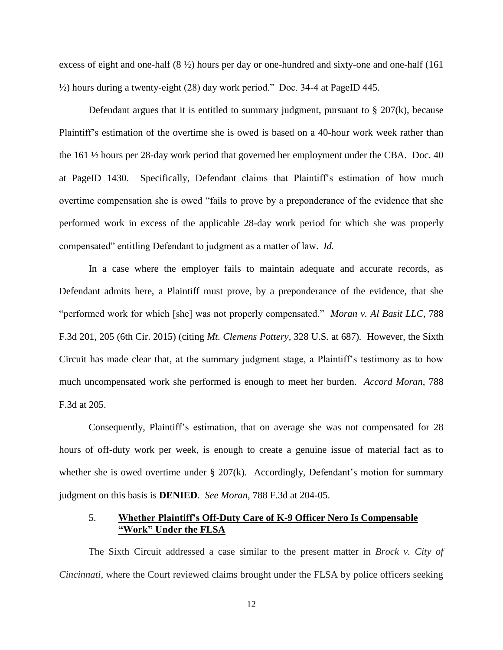excess of eight and one-half  $(8 \frac{1}{2})$  hours per day or one-hundred and sixty-one and one-half (161) ½) hours during a twenty-eight (28) day work period." Doc. 34-4 at PageID 445.

Defendant argues that it is entitled to summary judgment, pursuant to  $\S 207(k)$ , because Plaintiff's estimation of the overtime she is owed is based on a 40-hour work week rather than the 161 ½ hours per 28-day work period that governed her employment under the CBA. Doc. 40 at PageID 1430. Specifically, Defendant claims that Plaintiff's estimation of how much overtime compensation she is owed "fails to prove by a preponderance of the evidence that she performed work in excess of the applicable 28-day work period for which she was properly compensated" entitling Defendant to judgment as a matter of law. *Id.*

In a case where the employer fails to maintain adequate and accurate records, as Defendant admits here, a Plaintiff must prove, by a preponderance of the evidence, that she "performed work for which [she] was not properly compensated." *Moran v. Al Basit LLC*, 788 F.3d 201, 205 (6th Cir. 2015) (citing *Mt. Clemens Pottery*, 328 U.S. at 687)*.* However, the Sixth Circuit has made clear that, at the summary judgment stage, a Plaintiff's testimony as to how much uncompensated work she performed is enough to meet her burden. *Accord Moran*, 788 F.3d at 205.

Consequently, Plaintiff's estimation, that on average she was not compensated for 28 hours of off-duty work per week, is enough to create a genuine issue of material fact as to whether she is owed overtime under § 207(k). Accordingly, Defendant's motion for summary judgment on this basis is **DENIED**. *See Moran,* 788 F.3d at 204-05.

### 5. **Whether Plaintiff's Off-Duty Care of K-9 Officer Nero Is Compensable "Work" Under the FLSA**

The Sixth Circuit addressed a case similar to the present matter in *Brock v. City of Cincinnati*, where the Court reviewed claims brought under the FLSA by police officers seeking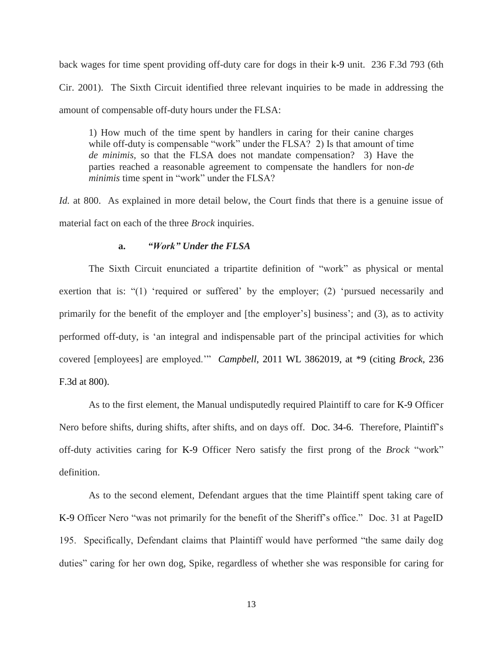back wages for time spent providing off-duty care for dogs in their k-9 unit. 236 F.3d 793 (6th Cir. 2001). The Sixth Circuit identified three relevant inquiries to be made in addressing the amount of compensable off-duty hours under the FLSA:

1) How much of the time spent by handlers in caring for their canine charges while off-duty is compensable "work" under the FLSA? 2) Is that amount of time *de minimis,* so that the FLSA does not mandate compensation? 3) Have the parties reached a reasonable agreement to compensate the handlers for non-*de minimis* time spent in "work" under the FLSA?

*Id.* at 800. As explained in more detail below, the Court finds that there is a genuine issue of material fact on each of the three *Brock* inquiries.

### **a.** *"Work" Under the FLSA*

The Sixth Circuit enunciated a tripartite definition of "work" as physical or mental exertion that is: "(1) 'required or suffered' by the employer; (2) 'pursued necessarily and primarily for the benefit of the employer and [the employer's] business'; and (3), as to activity performed off-duty, is 'an integral and indispensable part of the principal activities for which covered [employees] are employed.'" *Campbell*, 2011 WL 3862019, at \*9 (citing *Brock*, 236 F.3d at 800).

As to the first element, the Manual undisputedly required Plaintiff to care for K-9 Officer Nero before shifts, during shifts, after shifts, and on days off. Doc. 34-6. Therefore, Plaintiff's off-duty activities caring for K-9 Officer Nero satisfy the first prong of the *Brock* "work" definition.

As to the second element, Defendant argues that the time Plaintiff spent taking care of K-9 Officer Nero "was not primarily for the benefit of the Sheriff's office." Doc. 31 at PageID 195. Specifically, Defendant claims that Plaintiff would have performed "the same daily dog duties" caring for her own dog, Spike, regardless of whether she was responsible for caring for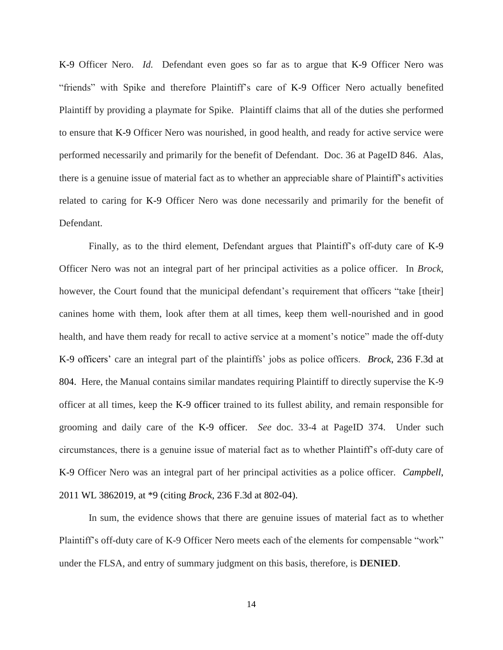K-9 Officer Nero. *Id.* Defendant even goes so far as to argue that K-9 Officer Nero was "friends" with Spike and therefore Plaintiff's care of K-9 Officer Nero actually benefited Plaintiff by providing a playmate for Spike. Plaintiff claims that all of the duties she performed to ensure that K-9 Officer Nero was nourished, in good health, and ready for active service were performed necessarily and primarily for the benefit of Defendant. Doc. 36 at PageID 846. Alas, there is a genuine issue of material fact as to whether an appreciable share of Plaintiff's activities related to caring for K-9 Officer Nero was done necessarily and primarily for the benefit of Defendant.

Finally, as to the third element, Defendant argues that Plaintiff's off-duty care of K-9 Officer Nero was not an integral part of her principal activities as a police officer. In *Brock,* however, the Court found that the municipal defendant's requirement that officers "take [their] canines home with them, look after them at all times, keep them well-nourished and in good health, and have them ready for recall to active service at a moment's notice" made the off-duty K-9 officers' care an integral part of the plaintiffs' jobs as police officers. *Brock*, 236 F.3d at 804. Here, the Manual contains similar mandates requiring Plaintiff to directly supervise the K-9 officer at all times, keep the K-9 officer trained to its fullest ability, and remain responsible for grooming and daily care of the K-9 officer. *See* doc. 33-4 at PageID 374. Under such circumstances, there is a genuine issue of material fact as to whether Plaintiff's off-duty care of K-9 Officer Nero was an integral part of her principal activities as a police officer. *Campbell*, 2011 WL 3862019, at \*9 (citing *Brock*, 236 F.3d at 802-04).

In sum, the evidence shows that there are genuine issues of material fact as to whether Plaintiff's off-duty care of K-9 Officer Nero meets each of the elements for compensable "work" under the FLSA, and entry of summary judgment on this basis, therefore, is **DENIED**.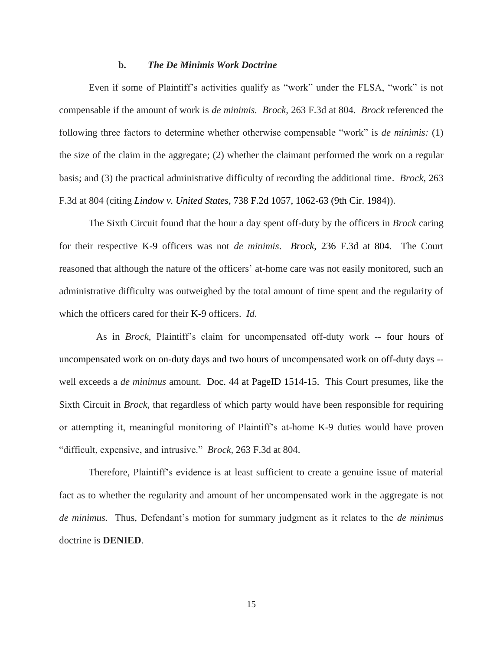#### **b.** *The De Minimis Work Doctrine*

Even if some of Plaintiff's activities qualify as "work" under the FLSA, "work" is not compensable if the amount of work is *de minimis. Brock,* 263 F.3d at 804. *Brock* referenced the following three factors to determine whether otherwise compensable "work" is *de minimis:* (1) the size of the claim in the aggregate; (2) whether the claimant performed the work on a regular basis; and (3) the practical administrative difficulty of recording the additional time. *Brock,* 263 F.3d at 804 (citing *Lindow v. United States*, 738 F.2d 1057, 1062-63 (9th Cir. 1984)).

The Sixth Circuit found that the hour a day spent off-duty by the officers in *Brock* caring for their respective K-9 officers was not *de minimis*. *Brock*, 236 F.3d at 804. The Court reasoned that although the nature of the officers' at-home care was not easily monitored, such an administrative difficulty was outweighed by the total amount of time spent and the regularity of which the officers cared for their K-9 officers. *Id*.

 As in *Brock*, Plaintiff's claim for uncompensated off-duty work -- four hours of uncompensated work on on-duty days and two hours of uncompensated work on off-duty days - well exceeds a *de minimus* amount. Doc. 44 at PageID 1514-15. This Court presumes, like the Sixth Circuit in *Brock*, that regardless of which party would have been responsible for requiring or attempting it, meaningful monitoring of Plaintiff's at-home K-9 duties would have proven "difficult, expensive, and intrusive." *Brock,* 263 F.3d at 804.

Therefore, Plaintiff's evidence is at least sufficient to create a genuine issue of material fact as to whether the regularity and amount of her uncompensated work in the aggregate is not *de minimus.* Thus, Defendant's motion for summary judgment as it relates to the *de minimus*  doctrine is **DENIED**.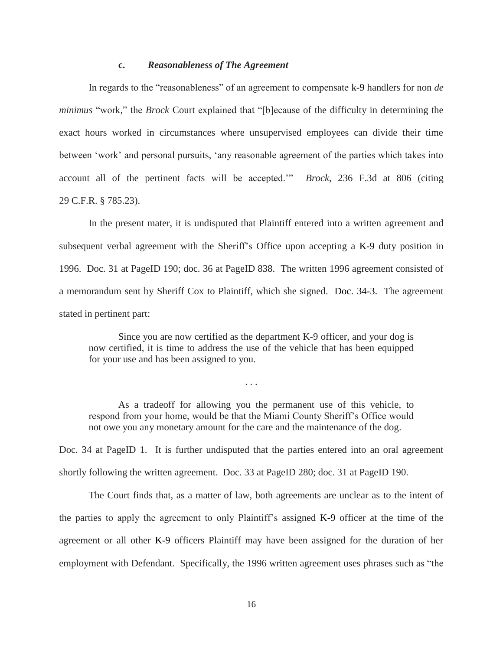### **c.** *Reasonableness of The Agreement*

In regards to the "reasonableness" of an agreement to compensate k-9 handlers for non *de minimus* "work," the *Brock* Court explained that "[b]ecause of the difficulty in determining the exact hours worked in circumstances where unsupervised employees can divide their time between 'work' and personal pursuits, 'any reasonable agreement of the parties which takes into account all of the pertinent facts will be accepted.'" *Brock*, 236 F.3d at 806 (citing 29 C.F.R. § 785.23).

In the present mater, it is undisputed that Plaintiff entered into a written agreement and subsequent verbal agreement with the Sheriff's Office upon accepting a K-9 duty position in 1996. Doc. 31 at PageID 190; doc. 36 at PageID 838. The written 1996 agreement consisted of a memorandum sent by Sheriff Cox to Plaintiff, which she signed. Doc. 34-3. The agreement stated in pertinent part:

Since you are now certified as the department K-9 officer, and your dog is now certified, it is time to address the use of the vehicle that has been equipped for your use and has been assigned to you.

As a tradeoff for allowing you the permanent use of this vehicle, to respond from your home, would be that the Miami County Sheriff's Office would not owe you any monetary amount for the care and the maintenance of the dog.

. . .

Doc. 34 at PageID 1. It is further undisputed that the parties entered into an oral agreement shortly following the written agreement. Doc. 33 at PageID 280; doc. 31 at PageID 190.

The Court finds that, as a matter of law, both agreements are unclear as to the intent of the parties to apply the agreement to only Plaintiff's assigned K-9 officer at the time of the agreement or all other K-9 officers Plaintiff may have been assigned for the duration of her employment with Defendant. Specifically, the 1996 written agreement uses phrases such as "the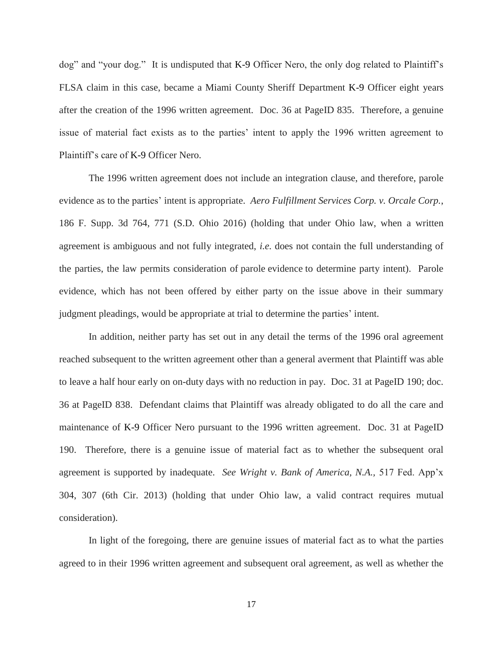dog" and "your dog." It is undisputed that K-9 Officer Nero, the only dog related to Plaintiff's FLSA claim in this case, became a Miami County Sheriff Department K-9 Officer eight years after the creation of the 1996 written agreement. Doc. 36 at PageID 835. Therefore, a genuine issue of material fact exists as to the parties' intent to apply the 1996 written agreement to Plaintiff's care of K-9 Officer Nero.

The 1996 written agreement does not include an integration clause, and therefore, parole evidence as to the parties' intent is appropriate. *Aero Fulfillment Services Corp. v. Orcale Corp.*, 186 F. Supp. 3d 764, 771 (S.D. Ohio 2016) (holding that under Ohio law, when a written agreement is ambiguous and not fully integrated, *i.e.* does not contain the full understanding of the parties, the law permits consideration of parole evidence to determine party intent). Parole evidence, which has not been offered by either party on the issue above in their summary judgment pleadings, would be appropriate at trial to determine the parties' intent.

In addition, neither party has set out in any detail the terms of the 1996 oral agreement reached subsequent to the written agreement other than a general averment that Plaintiff was able to leave a half hour early on on-duty days with no reduction in pay. Doc. 31 at PageID 190; doc. 36 at PageID 838. Defendant claims that Plaintiff was already obligated to do all the care and maintenance of K-9 Officer Nero pursuant to the 1996 written agreement. Doc. 31 at PageID 190. Therefore, there is a genuine issue of material fact as to whether the subsequent oral agreement is supported by inadequate. *See Wright v. Bank of America, N.A.,* 517 Fed. App'x 304, 307 (6th Cir. 2013) (holding that under Ohio law, a valid contract requires mutual consideration).

In light of the foregoing, there are genuine issues of material fact as to what the parties agreed to in their 1996 written agreement and subsequent oral agreement, as well as whether the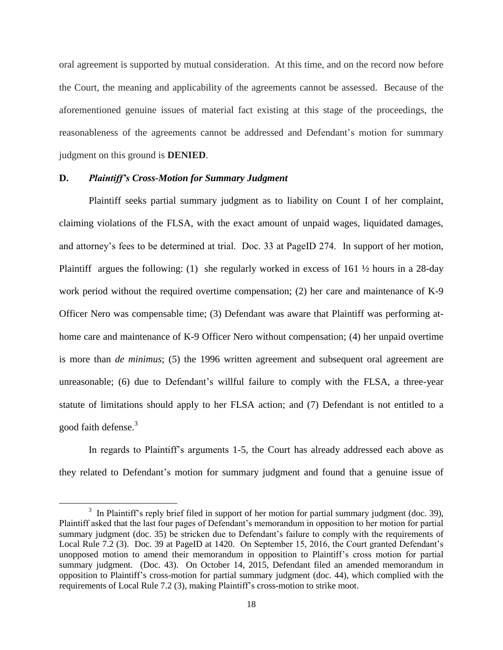oral agreement is supported by mutual consideration. At this time, and on the record now before the Court, the meaning and applicability of the agreements cannot be assessed. Because of the aforementioned genuine issues of material fact existing at this stage of the proceedings, the reasonableness of the agreements cannot be addressed and Defendant's motion for summary judgment on this ground is **DENIED**.

### **D.** *Plaintiff's Cross-Motion for Summary Judgment*

 $\overline{\phantom{a}}$ 

Plaintiff seeks partial summary judgment as to liability on Count I of her complaint, claiming violations of the FLSA, with the exact amount of unpaid wages, liquidated damages, and attorney's fees to be determined at trial. Doc. 33 at PageID 274. In support of her motion, Plaintiff argues the following: (1) she regularly worked in excess of 161  $\frac{1}{2}$  hours in a 28-day work period without the required overtime compensation; (2) her care and maintenance of K-9 Officer Nero was compensable time; (3) Defendant was aware that Plaintiff was performing athome care and maintenance of K-9 Officer Nero without compensation; (4) her unpaid overtime is more than *de minimus*; (5) the 1996 written agreement and subsequent oral agreement are unreasonable; (6) due to Defendant's willful failure to comply with the FLSA, a three-year statute of limitations should apply to her FLSA action; and (7) Defendant is not entitled to a good faith defense. 3

In regards to Plaintiff's arguments 1-5, the Court has already addressed each above as they related to Defendant's motion for summary judgment and found that a genuine issue of

 $3\,$  In Plaintiff's reply brief filed in support of her motion for partial summary judgment (doc. 39), Plaintiff asked that the last four pages of Defendant's memorandum in opposition to her motion for partial summary judgment (doc. 35) be stricken due to Defendant's failure to comply with the requirements of Local Rule 7.2 (3). Doc. 39 at PageID at 1420. On September 15, 2016, the Court granted Defendant's unopposed motion to amend their memorandum in opposition to Plaintiff's cross motion for partial summary judgment. (Doc. 43). On October 14, 2015, Defendant filed an amended memorandum in opposition to Plaintiff's cross-motion for partial summary judgment (doc. 44), which complied with the requirements of Local Rule 7.2 (3), making Plaintiff's cross-motion to strike moot.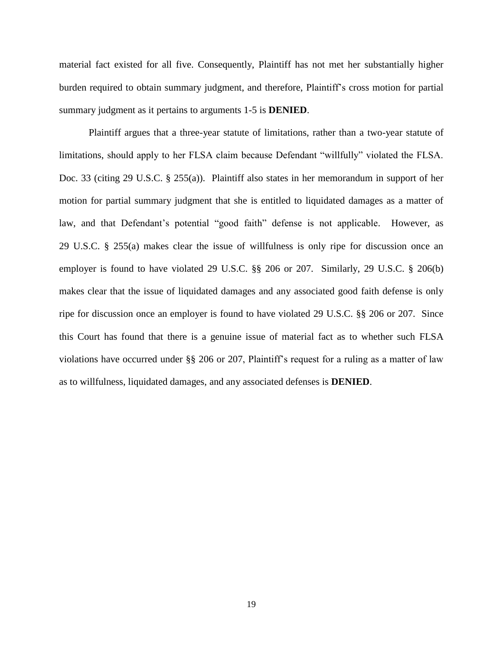material fact existed for all five. Consequently, Plaintiff has not met her substantially higher burden required to obtain summary judgment, and therefore, Plaintiff's cross motion for partial summary judgment as it pertains to arguments 1-5 is **DENIED**.

Plaintiff argues that a three-year statute of limitations, rather than a two-year statute of limitations, should apply to her FLSA claim because Defendant "willfully" violated the FLSA. Doc. 33 (citing 29 U.S.C. § 255(a)). Plaintiff also states in her memorandum in support of her motion for partial summary judgment that she is entitled to liquidated damages as a matter of law, and that Defendant's potential "good faith" defense is not applicable. However, as 29 U.S.C. § 255(a) makes clear the issue of willfulness is only ripe for discussion once an employer is found to have violated 29 U.S.C. §§ 206 or [207.](http://www.westlaw.com/Link/Document/FullText?findType=L&pubNum=1000546&cite=29USCAS207&originatingDoc=Id790178e567411d9bf30d7fdf51b6bd4&refType=LQ&originationContext=document&vr=3.0&rs=cblt1.0&transitionType=DocumentItem&contextData=(sc.Search)) Similarly, 29 U.S.C. § 206(b) makes clear that the issue of liquidated damages and any associated good faith defense is only ripe for discussion once an employer is found to have violated 29 U.S.C. §§ 206 or 207. Since this Court has found that there is a genuine issue of material fact as to whether such FLSA violations have occurred under §§ 206 or [207,](http://www.westlaw.com/Link/Document/FullText?findType=L&pubNum=1000546&cite=29USCAS207&originatingDoc=Id790178e567411d9bf30d7fdf51b6bd4&refType=LQ&originationContext=document&vr=3.0&rs=cblt1.0&transitionType=DocumentItem&contextData=(sc.Search)) Plaintiff's request for a ruling as a matter of law as to willfulness, liquidated damages, and any associated defenses is **DENIED**.